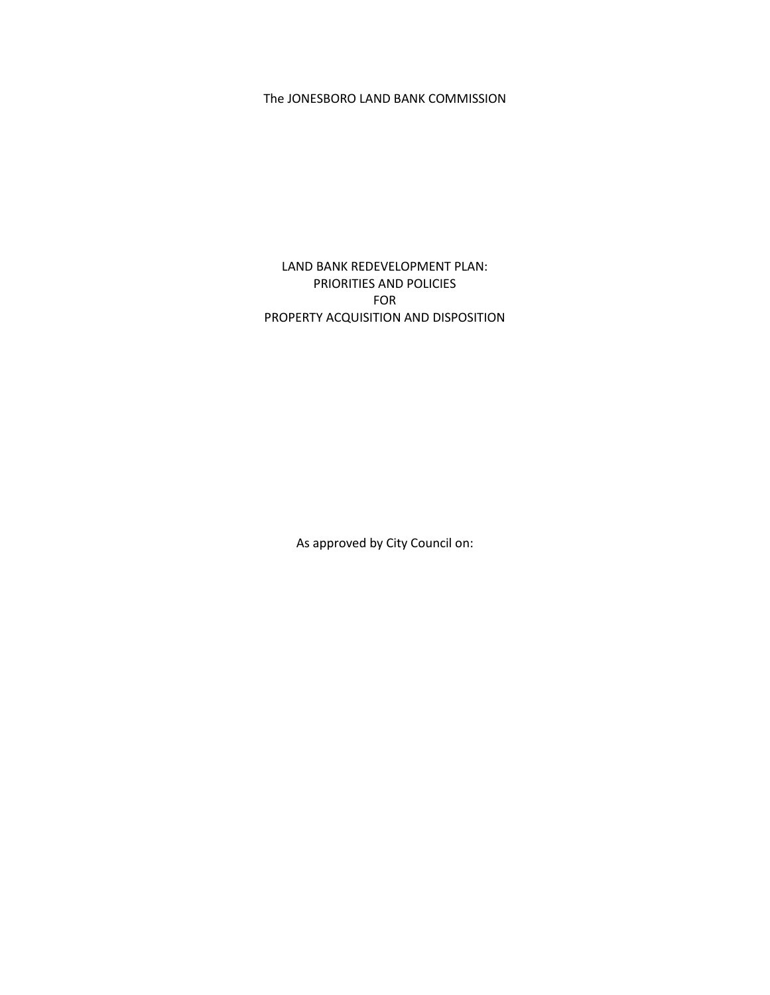## The JONESBORO LAND BANK COMMISSION

LAND BANK REDEVELOPMENT PLAN: PRIORITIES AND POLICIES FOR PROPERTY ACQUISITION AND DISPOSITION

As approved by City Council on: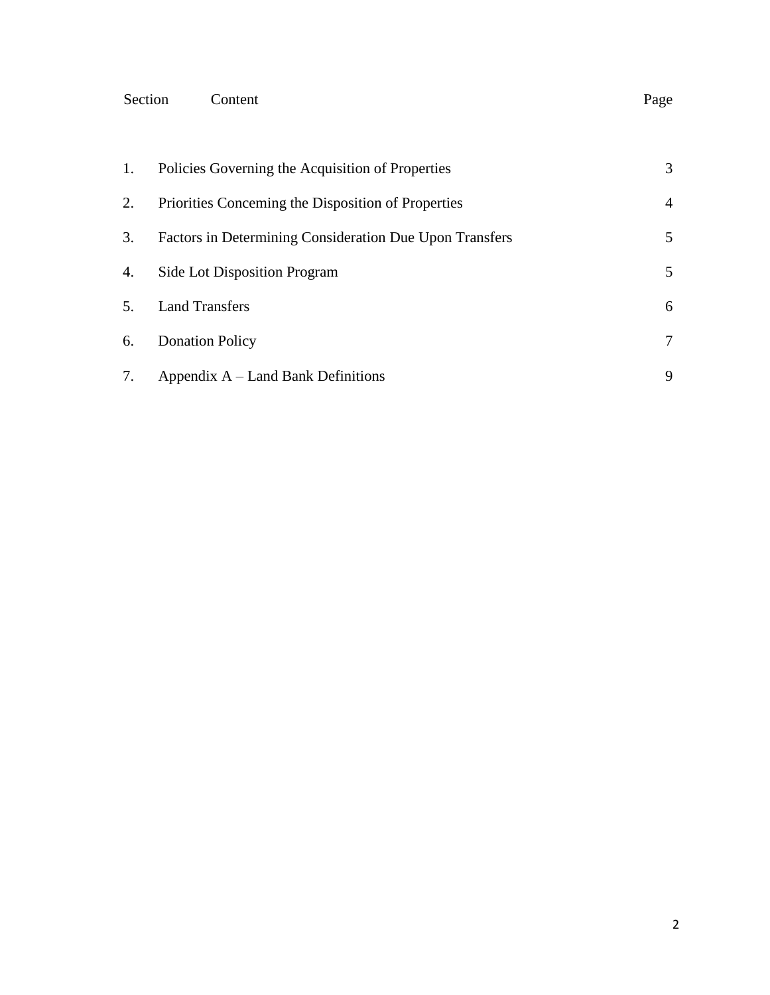### Section Content Page

| 1. | Policies Governing the Acquisition of Properties        | 3 |
|----|---------------------------------------------------------|---|
| 2. | Priorities Concerning the Disposition of Properties     | 4 |
| 3. | Factors in Determining Consideration Due Upon Transfers | 5 |
| 4. | Side Lot Disposition Program                            | 5 |
|    | <b>Land Transfers</b>                                   | 6 |
| 6. | <b>Donation Policy</b>                                  | 7 |
|    | Appendix $A$ – Land Bank Definitions                    | 9 |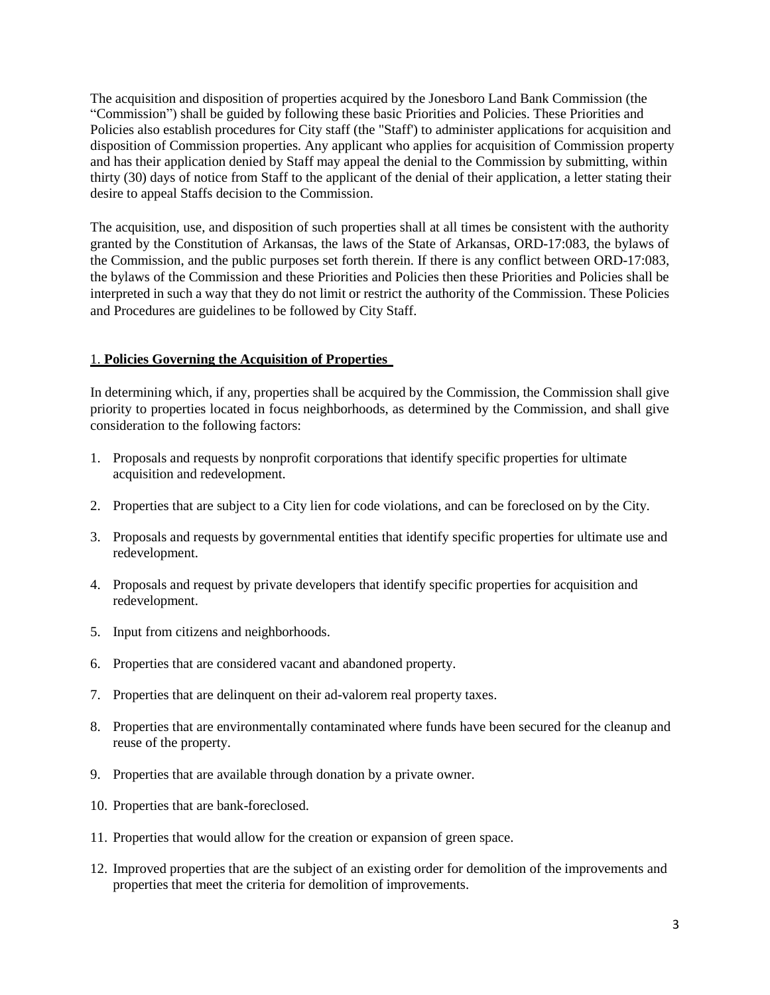The acquisition and disposition of properties acquired by the Jonesboro Land Bank Commission (the "Commission") shall be guided by following these basic Priorities and Policies. These Priorities and Policies also establish procedures for City staff (the "Staff') to administer applications for acquisition and disposition of Commission properties. Any applicant who applies for acquisition of Commission property and has their application denied by Staff may appeal the denial to the Commission by submitting, within thirty (30) days of notice from Staff to the applicant of the denial of their application, a letter stating their desire to appeal Staffs decision to the Commission.

The acquisition, use, and disposition of such properties shall at all times be consistent with the authority granted by the Constitution of Arkansas, the laws of the State of Arkansas, ORD-17:083, the bylaws of the Commission, and the public purposes set forth therein. If there is any conflict between ORD-17:083, the bylaws of the Commission and these Priorities and Policies then these Priorities and Policies shall be interpreted in such a way that they do not limit or restrict the authority of the Commission. These Policies and Procedures are guidelines to be followed by City Staff.

### 1. **Policies Governing the Acquisition of Properties**

In determining which, if any, properties shall be acquired by the Commission, the Commission shall give priority to properties located in focus neighborhoods, as determined by the Commission, and shall give consideration to the following factors:

- 1. Proposals and requests by nonprofit corporations that identify specific properties for ultimate acquisition and redevelopment.
- 2. Properties that are subject to a City lien for code violations, and can be foreclosed on by the City.
- 3. Proposals and requests by governmental entities that identify specific properties for ultimate use and redevelopment.
- 4. Proposals and request by private developers that identify specific properties for acquisition and redevelopment.
- 5. Input from citizens and neighborhoods.
- 6. Properties that are considered vacant and abandoned property.
- 7. Properties that are delinquent on their ad-valorem real property taxes.
- 8. Properties that are environmentally contaminated where funds have been secured for the cleanup and reuse of the property.
- 9. Properties that are available through donation by a private owner.
- 10. Properties that are bank-foreclosed.
- 11. Properties that would allow for the creation or expansion of green space.
- 12. Improved properties that are the subject of an existing order for demolition of the improvements and properties that meet the criteria for demolition of improvements.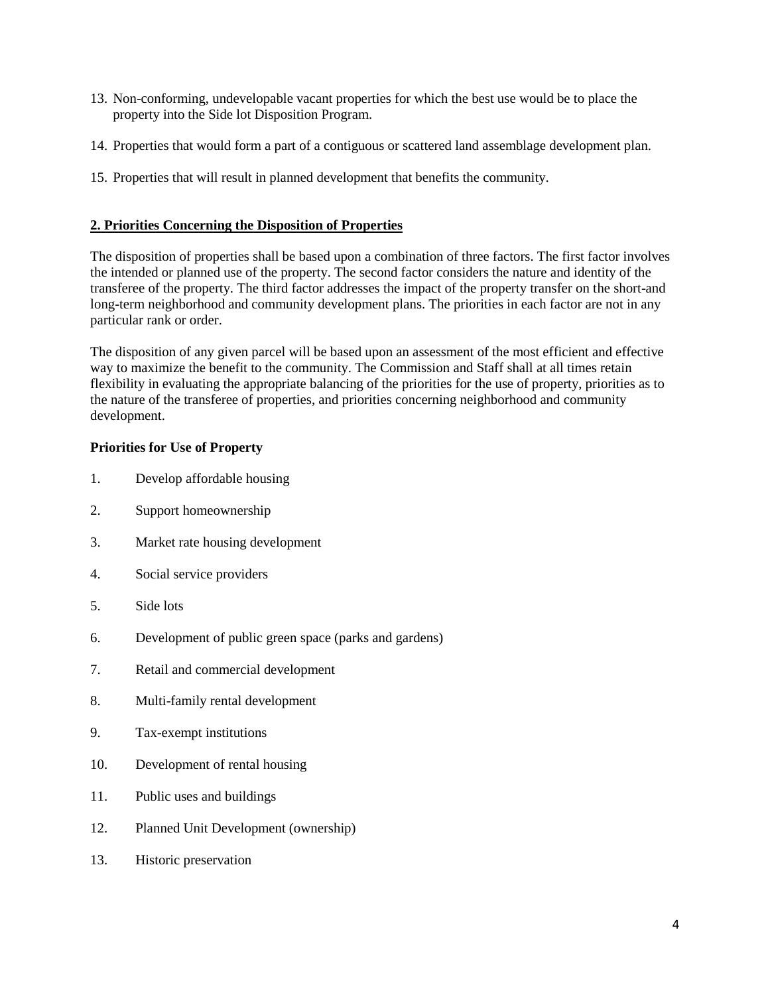- 13. Non-conforming, undevelopable vacant properties for which the best use would be to place the property into the Side lot Disposition Program.
- 14. Properties that would form a part of a contiguous or scattered land assemblage development plan.
- 15. Properties that will result in planned development that benefits the community.

### **2. Priorities Concerning the Disposition of Properties**

The disposition of properties shall be based upon a combination of three factors. The first factor involves the intended or planned use of the property. The second factor considers the nature and identity of the transferee of the property. The third factor addresses the impact of the property transfer on the short-and long-term neighborhood and community development plans. The priorities in each factor are not in any particular rank or order.

The disposition of any given parcel will be based upon an assessment of the most efficient and effective way to maximize the benefit to the community. The Commission and Staff shall at all times retain flexibility in evaluating the appropriate balancing of the priorities for the use of property, priorities as to the nature of the transferee of properties, and priorities concerning neighborhood and community development.

### **Priorities for Use of Property**

- 1. Develop affordable housing
- 2. Support homeownership
- 3. Market rate housing development
- 4. Social service providers
- 5. Side lots
- 6. Development of public green space (parks and gardens)
- 7. Retail and commercial development
- 8. Multi-family rental development
- 9. Tax-exempt institutions
- 10. Development of rental housing
- 11. Public uses and buildings
- 12. Planned Unit Development (ownership)
- 13. Historic preservation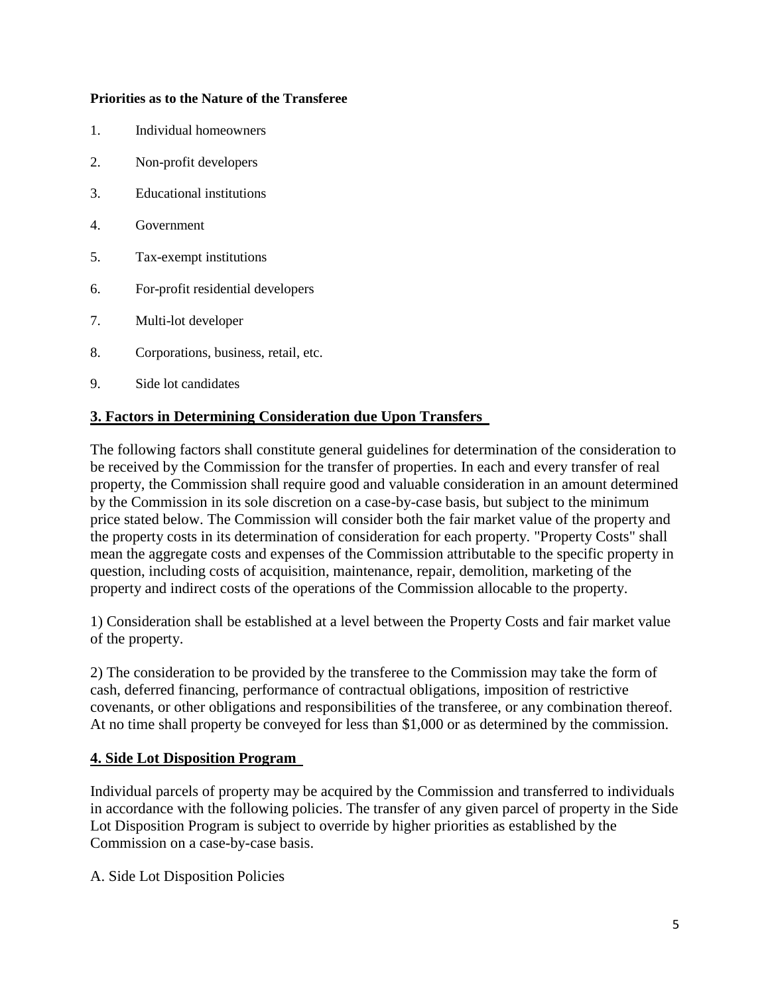### **Priorities as to the Nature of the Transferee**

- 1. Individual homeowners
- 2. Non-profit developers
- 3. Educational institutions
- 4. Government
- 5. Tax-exempt institutions
- 6. For-profit residential developers
- 7. Multi-lot developer
- 8. Corporations, business, retail, etc.
- 9. Side lot candidates

## **3. Factors in Determining Consideration due Upon Transfers**

The following factors shall constitute general guidelines for determination of the consideration to be received by the Commission for the transfer of properties. In each and every transfer of real property, the Commission shall require good and valuable consideration in an amount determined by the Commission in its sole discretion on a case-by-case basis, but subject to the minimum price stated below. The Commission will consider both the fair market value of the property and the property costs in its determination of consideration for each property. "Property Costs" shall mean the aggregate costs and expenses of the Commission attributable to the specific property in question, including costs of acquisition, maintenance, repair, demolition, marketing of the property and indirect costs of the operations of the Commission allocable to the property.

1) Consideration shall be established at a level between the Property Costs and fair market value of the property.

2) The consideration to be provided by the transferee to the Commission may take the form of cash, deferred financing, performance of contractual obligations, imposition of restrictive covenants, or other obligations and responsibilities of the transferee, or any combination thereof. At no time shall property be conveyed for less than \$1,000 or as determined by the commission.

## **4. Side Lot Disposition Program**

Individual parcels of property may be acquired by the Commission and transferred to individuals in accordance with the following policies. The transfer of any given parcel of property in the Side Lot Disposition Program is subject to override by higher priorities as established by the Commission on a case-by-case basis.

A. Side Lot Disposition Policies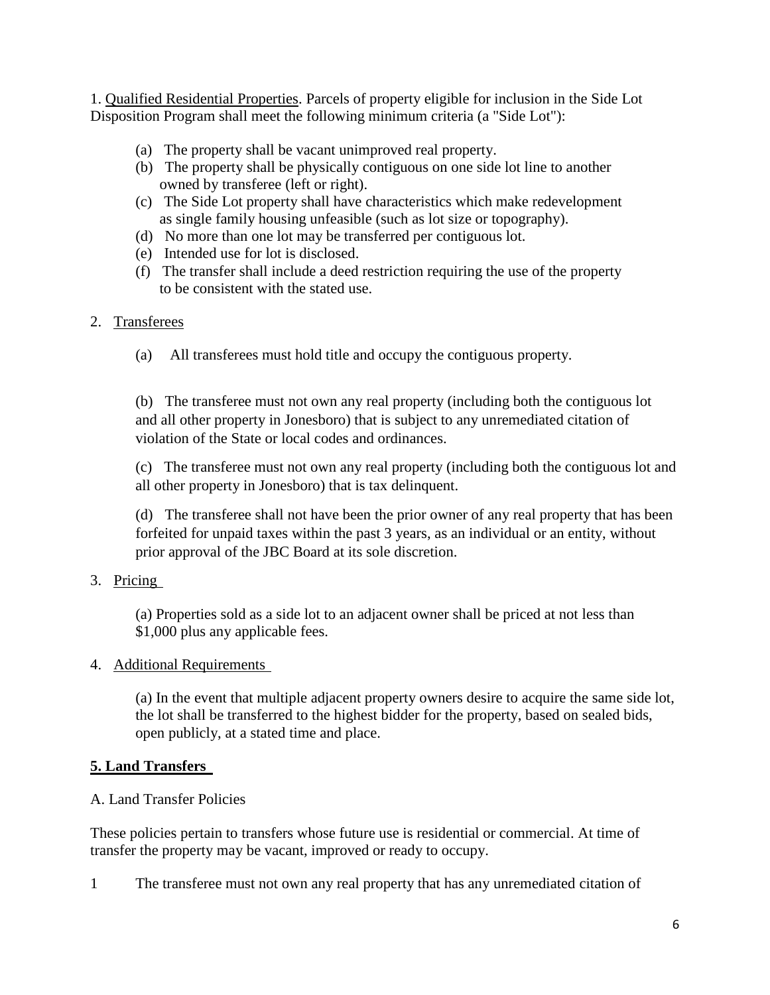1. Qualified Residential Properties. Parcels of property eligible for inclusion in the Side Lot Disposition Program shall meet the following minimum criteria (a "Side Lot"):

- (a) The property shall be vacant unimproved real property.
- (b) The property shall be physically contiguous on one side lot line to another owned by transferee (left or right).
- (c) The Side Lot property shall have characteristics which make redevelopment as single family housing unfeasible (such as lot size or topography).
- (d) No more than one lot may be transferred per contiguous lot.
- (e) Intended use for lot is disclosed.
- (f) The transfer shall include a deed restriction requiring the use of the property to be consistent with the stated use.

## 2. Transferees

(a) All transferees must hold title and occupy the contiguous property.

(b) The transferee must not own any real property (including both the contiguous lot and all other property in Jonesboro) that is subject to any unremediated citation of violation of the State or local codes and ordinances.

(c) The transferee must not own any real property (including both the contiguous lot and all other property in Jonesboro) that is tax delinquent.

(d) The transferee shall not have been the prior owner of any real property that has been forfeited for unpaid taxes within the past 3 years, as an individual or an entity, without prior approval of the JBC Board at its sole discretion.

3. Pricing

(a) Properties sold as a side lot to an adjacent owner shall be priced at not less than \$1,000 plus any applicable fees.

## 4. Additional Requirements

(a) In the event that multiple adjacent property owners desire to acquire the same side lot, the lot shall be transferred to the highest bidder for the property, based on sealed bids, open publicly, at a stated time and place.

# **5. Land Transfers**

## A. Land Transfer Policies

These policies pertain to transfers whose future use is residential or commercial. At time of transfer the property may be vacant, improved or ready to occupy.

1 The transferee must not own any real property that has any unremediated citation of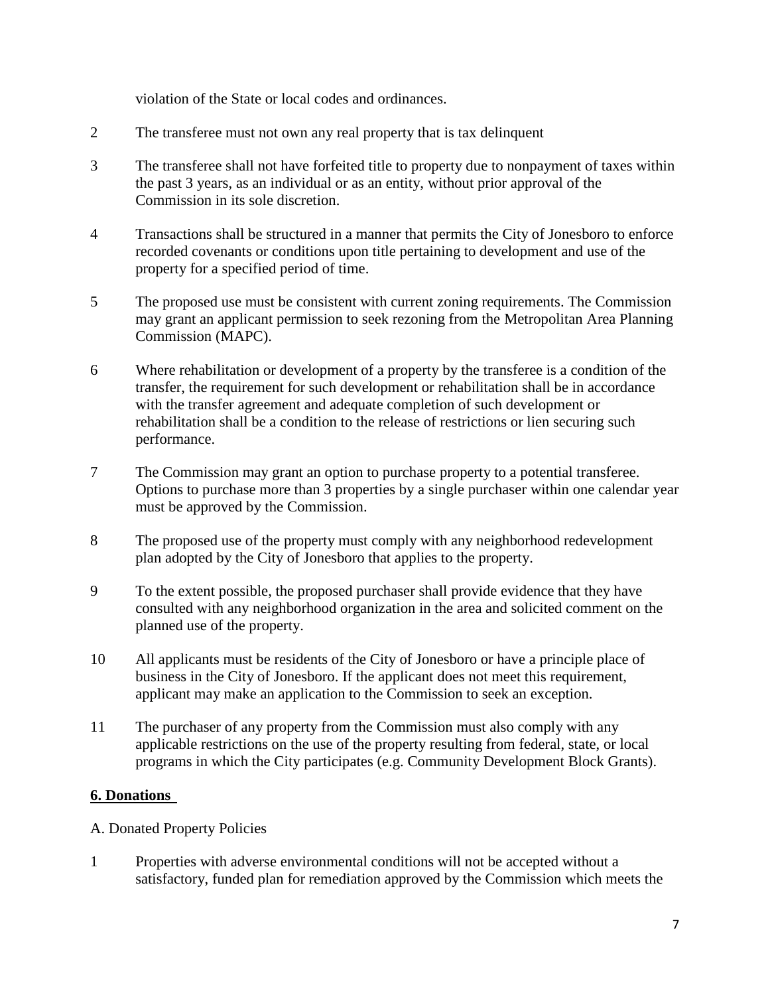violation of the State or local codes and ordinances.

- 2 The transferee must not own any real property that is tax delinquent
- 3 The transferee shall not have forfeited title to property due to nonpayment of taxes within the past 3 years, as an individual or as an entity, without prior approval of the Commission in its sole discretion.
- 4 Transactions shall be structured in a manner that permits the City of Jonesboro to enforce recorded covenants or conditions upon title pertaining to development and use of the property for a specified period of time.
- 5 The proposed use must be consistent with current zoning requirements. The Commission may grant an applicant permission to seek rezoning from the Metropolitan Area Planning Commission (MAPC).
- 6 Where rehabilitation or development of a property by the transferee is a condition of the transfer, the requirement for such development or rehabilitation shall be in accordance with the transfer agreement and adequate completion of such development or rehabilitation shall be a condition to the release of restrictions or lien securing such performance.
- 7 The Commission may grant an option to purchase property to a potential transferee. Options to purchase more than 3 properties by a single purchaser within one calendar year must be approved by the Commission.
- 8 The proposed use of the property must comply with any neighborhood redevelopment plan adopted by the City of Jonesboro that applies to the property.
- 9 To the extent possible, the proposed purchaser shall provide evidence that they have consulted with any neighborhood organization in the area and solicited comment on the planned use of the property.
- 10 All applicants must be residents of the City of Jonesboro or have a principle place of business in the City of Jonesboro. If the applicant does not meet this requirement, applicant may make an application to the Commission to seek an exception.
- 11 The purchaser of any property from the Commission must also comply with any applicable restrictions on the use of the property resulting from federal, state, or local programs in which the City participates (e.g. Community Development Block Grants).

## **6. Donations**

- A. Donated Property Policies
- 1 Properties with adverse environmental conditions will not be accepted without a satisfactory, funded plan for remediation approved by the Commission which meets the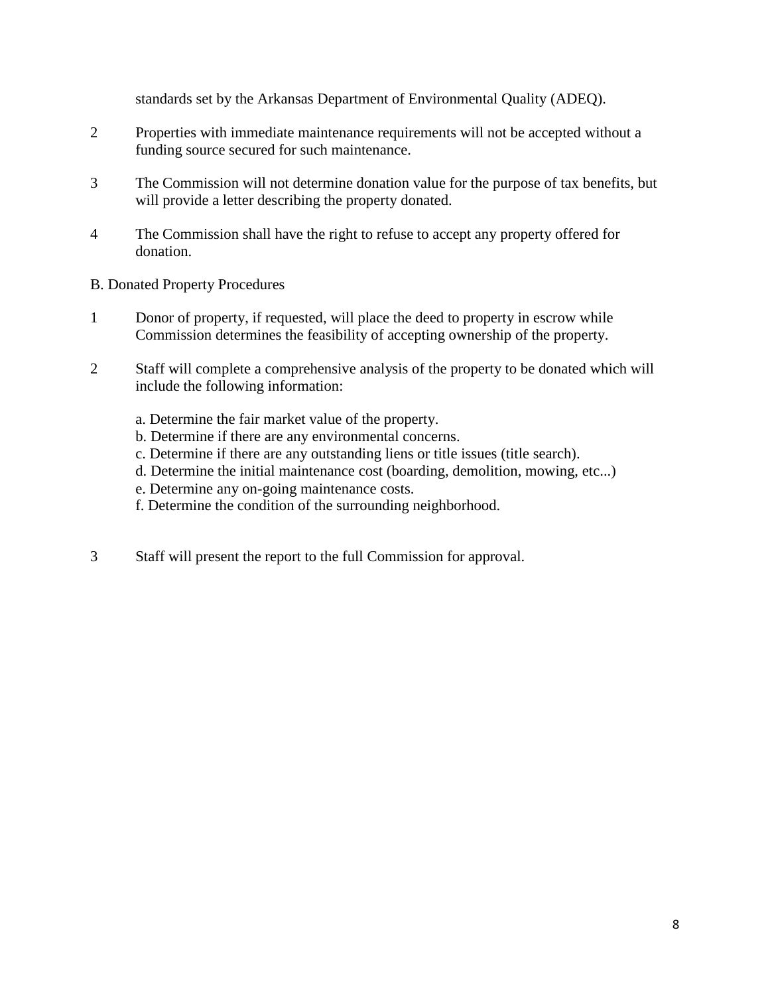standards set by the Arkansas Department of Environmental Quality (ADEQ).

- 2 Properties with immediate maintenance requirements will not be accepted without a funding source secured for such maintenance.
- 3 The Commission will not determine donation value for the purpose of tax benefits, but will provide a letter describing the property donated.
- 4 The Commission shall have the right to refuse to accept any property offered for donation.
- B. Donated Property Procedures
- 1 Donor of property, if requested, will place the deed to property in escrow while Commission determines the feasibility of accepting ownership of the property.
- 2 Staff will complete a comprehensive analysis of the property to be donated which will include the following information:
	- a. Determine the fair market value of the property.
	- b. Determine if there are any environmental concerns.
	- c. Determine if there are any outstanding liens or title issues (title search).
	- d. Determine the initial maintenance cost (boarding, demolition, mowing, etc...)
	- e. Determine any on-going maintenance costs.
	- f. Determine the condition of the surrounding neighborhood.
- 3 Staff will present the report to the full Commission for approval.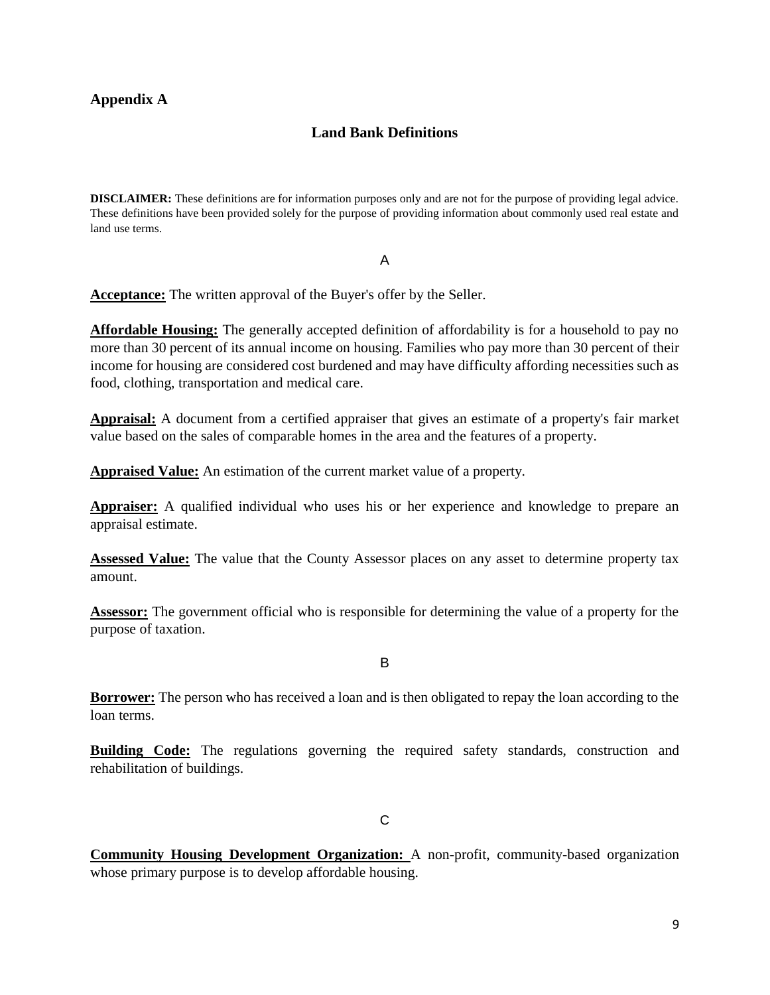## **Appendix A**

## **Land Bank Definitions**

**DISCLAIMER:** These definitions are for information purposes only and are not for the purpose of providing legal advice. These definitions have been provided solely for the purpose of providing information about commonly used real estate and land use terms.

#### A

**Acceptance:** The written approval of the Buyer's offer by the Seller.

**Affordable Housing:** The generally accepted definition of affordability is for a household to pay no more than 30 percent of its annual income on housing. Families who pay more than 30 percent of their income for housing are considered cost burdened and may have difficulty affording necessities such as food, clothing, transportation and medical care.

**Appraisal:** A document from a certified appraiser that gives an estimate of a property's fair market value based on the sales of comparable homes in the area and the features of a property.

**Appraised Value:** An estimation of the current market value of a property.

**Appraiser:** A qualified individual who uses his or her experience and knowledge to prepare an appraisal estimate.

**Assessed Value:** The value that the County Assessor places on any asset to determine property tax amount.

**Assessor:** The government official who is responsible for determining the value of a property for the purpose of taxation.

B

**Borrower:** The person who has received a loan and is then obligated to repay the loan according to the loan terms.

**Building Code:** The regulations governing the required safety standards, construction and rehabilitation of buildings.

 $\mathcal{C}$ 

**Community Housing Development Organization:** A non-profit, community-based organization whose primary purpose is to develop affordable housing.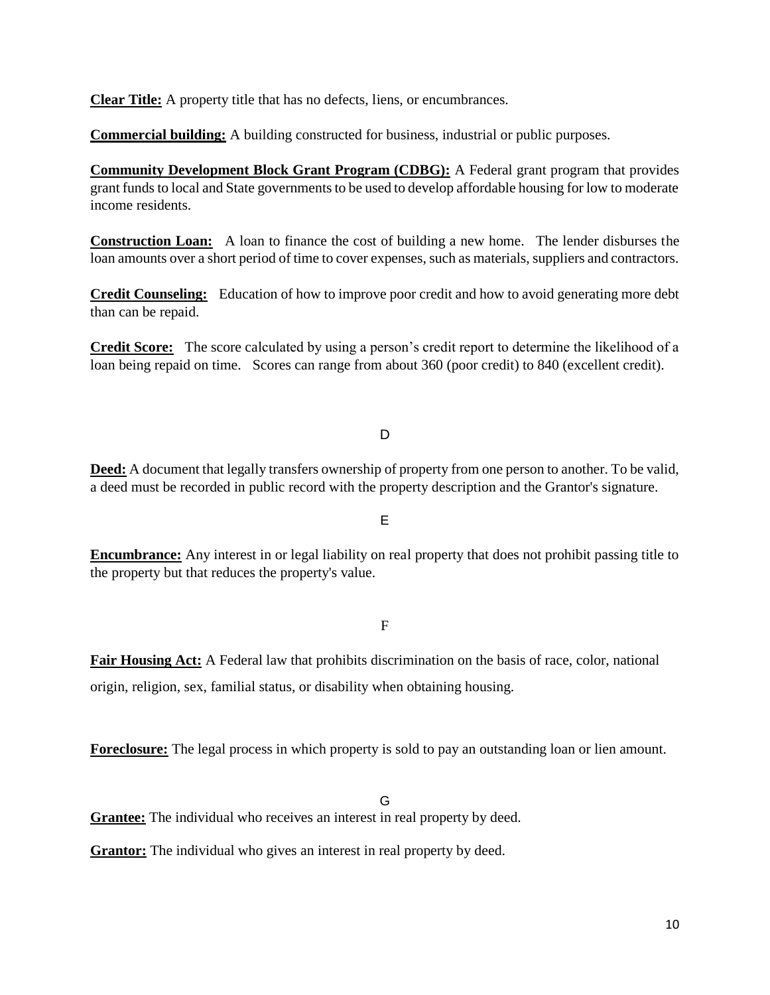**Clear Title:** A property title that has no defects, liens, or encumbrances.

**Commercial building:** A building constructed for business, industrial or public purposes.

**Community Development Block Grant Program (CDBG):** A Federal grant program that provides grant funds to local and State governments to be used to develop affordable housing for low to moderate income residents.

**Construction Loan:** A loan to finance the cost of building a new home. The lender disburses the loan amounts over a short period of time to cover expenses, such as materials, suppliers and contractors.

**Credit Counseling:** Education of how to improve poor credit and how to avoid generating more debt than can be repaid.

**Credit Score:** The score calculated by using a person's credit report to determine the likelihood of a loan being repaid on time. Scores can range from about 360 (poor credit) to 840 (excellent credit).

D

**Deed:** A document that legally transfers ownership of property from one person to another. To be valid, a deed must be recorded in public record with the property description and the Grantor's signature.

E

**Encumbrance:** Any interest in or legal liability on real property that does not prohibit passing title to the property but that reduces the property's value.

#### F

**Fair Housing Act:** A Federal law that prohibits discrimination on the basis of race, color, national origin, religion, sex, familial status, or disability when obtaining housing.

**Foreclosure:** The legal process in which property is sold to pay an outstanding loan or lien amount.

G

**Grantee:** The individual who receives an interest in real property by deed.

**Grantor:** The individual who gives an interest in real property by deed.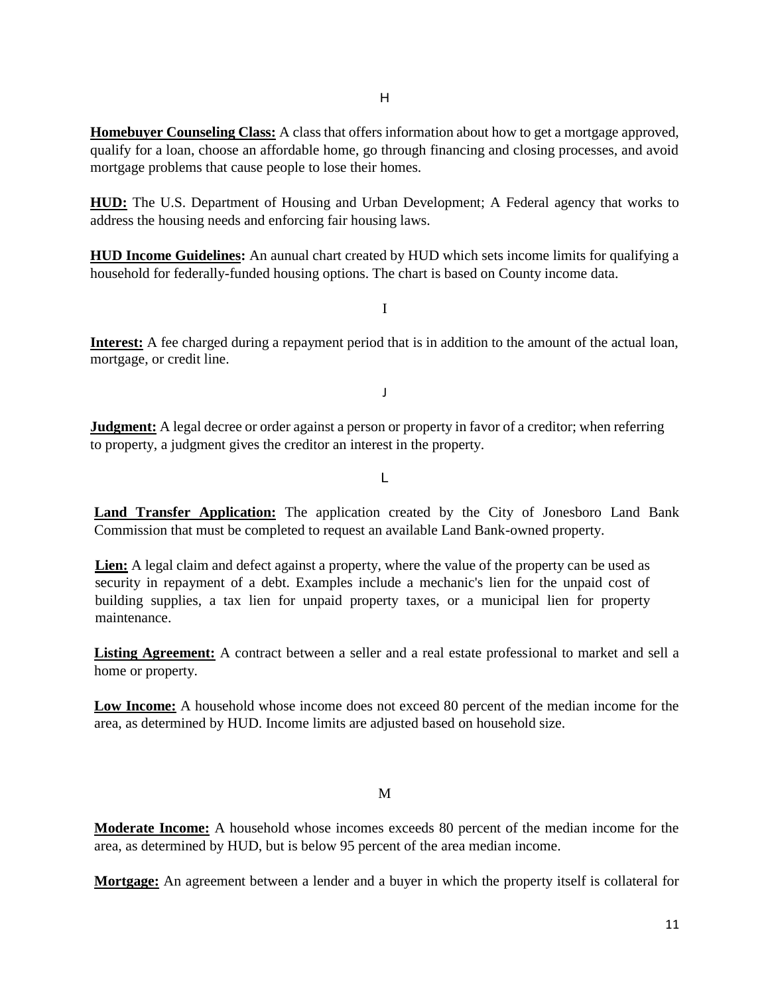**Homebuyer Counseling Class:** A class that offers information about how to get a mortgage approved, qualify for a loan, choose an affordable home, go through financing and closing processes, and avoid mortgage problems that cause people to lose their homes.

**HUD:** The U.S. Department of Housing and Urban Development; A Federal agency that works to address the housing needs and enforcing fair housing laws.

**HUD Income Guidelines:** An aunual chart created by HUD which sets income limits for qualifying a household for federally-funded housing options. The chart is based on County income data.

I

**Interest:** A fee charged during a repayment period that is in addition to the amount of the actual loan, mortgage, or credit line.

J

**Judgment:** A legal decree or order against a person or property in favor of a creditor; when referring to property, a judgment gives the creditor an interest in the property.

L

**Land Transfer Application:** The application created by the City of Jonesboro Land Bank Commission that must be completed to request an available Land Bank-owned property.

**Lien:** A legal claim and defect against a property, where the value of the property can be used as security in repayment of a debt. Examples include a mechanic's lien for the unpaid cost of building supplies, a tax lien for unpaid property taxes, or a municipal lien for property maintenance.

**Listing Agreement:** A contract between a seller and a real estate professional to market and sell a home or property.

**Low Income:** A household whose income does not exceed 80 percent of the median income for the area, as determined by HUD. Income limits are adjusted based on household size.

M

**Moderate Income:** A household whose incomes exceeds 80 percent of the median income for the area, as determined by HUD, but is below 95 percent of the area median income.

**Mortgage:** An agreement between a lender and a buyer in which the property itself is collateral for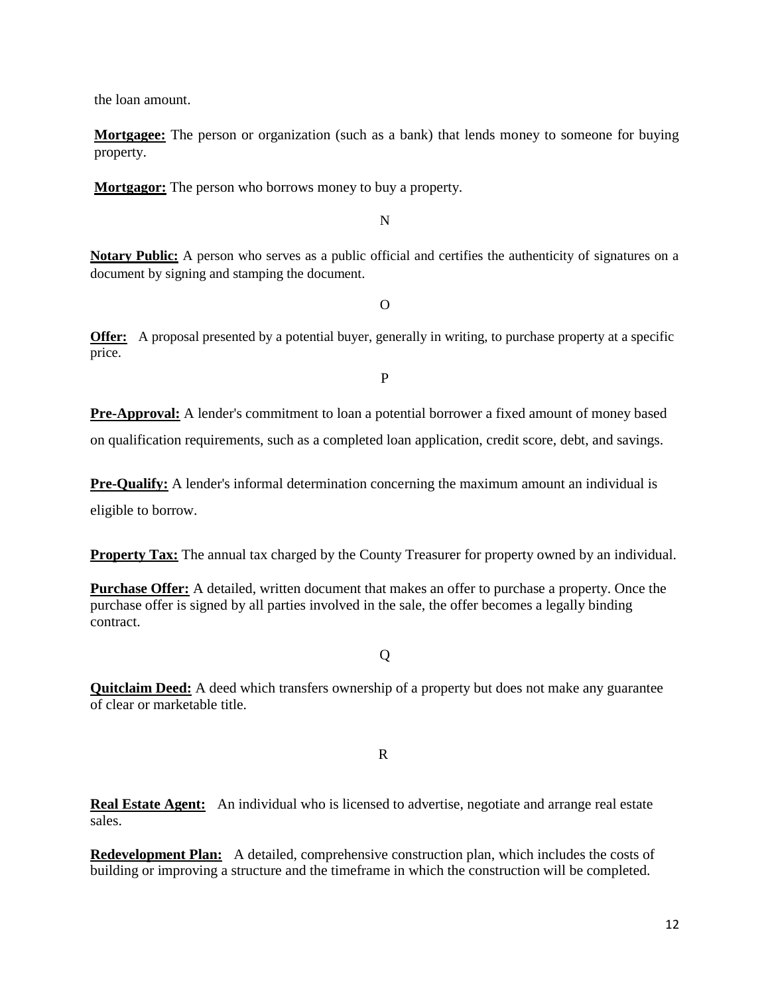the loan amount.

**Mortgagee:** The person or organization (such as a bank) that lends money to someone for buying property.

**Mortgagor:** The person who borrows money to buy a property.

N

**Notary Public:** A person who serves as a public official and certifies the authenticity of signatures on a document by signing and stamping the document.

 $\Omega$ 

**Offer:** A proposal presented by a potential buyer, generally in writing, to purchase property at a specific price.

P

**Pre-Approval:** A lender's commitment to loan a potential borrower a fixed amount of money based on qualification requirements, such as a completed loan application, credit score, debt, and savings.

**Pre-Qualify:** A lender's informal determination concerning the maximum amount an individual is eligible to borrow.

**Property Tax:** The annual tax charged by the County Treasurer for property owned by an individual.

**Purchase Offer:** A detailed, written document that makes an offer to purchase a property. Once the purchase offer is signed by all parties involved in the sale, the offer becomes a legally binding contract.

Q

**Quitclaim Deed:** A deed which transfers ownership of a property but does not make any guarantee of clear or marketable title.

R

**Real Estate Agent:** An individual who is licensed to advertise, negotiate and arrange real estate sales.

**Redevelopment Plan:** A detailed, comprehensive construction plan, which includes the costs of building or improving a structure and the timeframe in which the construction will be completed.